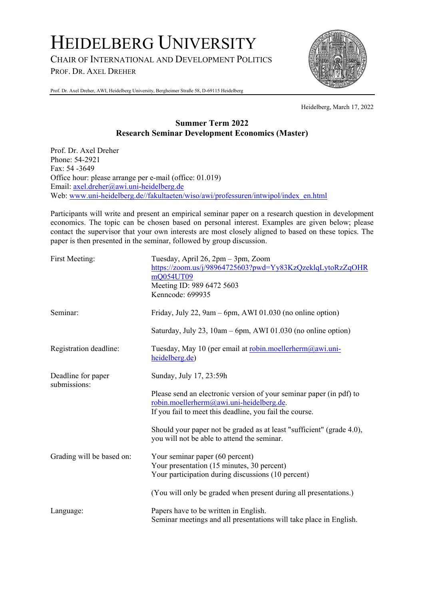# HEIDELBERG UNIVERSITY

CHAIR OF INTERNATIONAL AND DEVELOPMENT POLITICS

PROF. DR. AXEL DREHER



Prof. Dr. Axel Dreher, AWI, Heidelberg University, Bergheimer Straße 58, D-69115 Heidelberg

Heidelberg, March 17, 2022

# **Summer Term 2022 Research Seminar Development Economics (Master)**

Prof. Dr. Axel Dreher Phone: 54-2921 Fax: 54 -3649 Office hour: please arrange per e-mail (office: 01.019) Email: axel.dreher@awi.uni-heidelberg.de Web: www.uni-heidelberg.de//fakultaeten/wiso/awi/professuren/intwipol/index\_en.html

Participants will write and present an empirical seminar paper on a research question in development economics. The topic can be chosen based on personal interest. Examples are given below; please contact the supervisor that your own interests are most closely aligned to based on these topics. The paper is then presented in the seminar, followed by group discussion.

| First Meeting:                     | Tuesday, April 26, 2pm - 3pm, Zoom<br>https://zoom.us/j/98964725603?pwd=Yy83KzQzeklqLytoRzZqOHR<br>mQ054UT09<br>Meeting ID: 989 6472 5603<br>Kenncode: 699935              |
|------------------------------------|----------------------------------------------------------------------------------------------------------------------------------------------------------------------------|
| Seminar:                           | Friday, July 22, 9am - 6pm, AWI 01.030 (no online option)                                                                                                                  |
|                                    | Saturday, July 23, 10am – 6pm, AWI 01.030 (no online option)                                                                                                               |
| Registration deadline:             | Tuesday, May 10 (per email at robin.moellerherm@awi.uni-<br>heidelberg.de)                                                                                                 |
| Deadline for paper<br>submissions: | Sunday, July 17, 23:59h                                                                                                                                                    |
|                                    | Please send an electronic version of your seminar paper (in pdf) to<br>robin.moellerherm@awi.uni-heidelberg.de.<br>If you fail to meet this deadline, you fail the course. |
|                                    | Should your paper not be graded as at least "sufficient" (grade 4.0),<br>you will not be able to attend the seminar.                                                       |
| Grading will be based on:          | Your seminar paper (60 percent)<br>Your presentation (15 minutes, 30 percent)<br>Your participation during discussions (10 percent)                                        |
|                                    | (You will only be graded when present during all presentations.)                                                                                                           |
| Language:                          | Papers have to be written in English.<br>Seminar meetings and all presentations will take place in English.                                                                |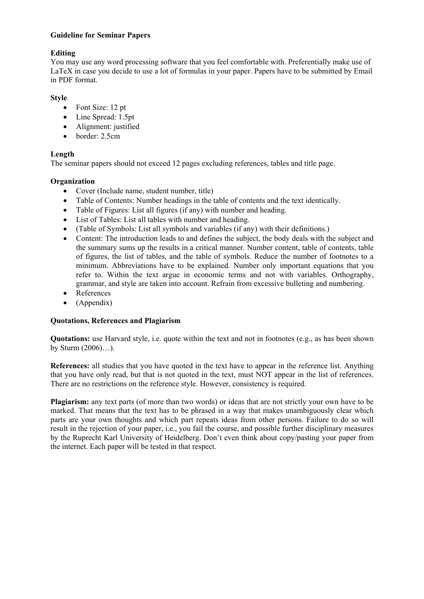#### **Guideline for Seminar Papers**

## **Editing**

You may use any word processing software that you feel comfortable with. Preferentially make use of LaTeX in case you decide to use a lot of formulas in your paper. Papers have to be submitted by Email in PDF format.

## **Style**

- Font Size: 12 pt
- Line Spread: 1.5pt
- Alignment: justified
- border: 2.5cm

## **Length**

The seminar papers should not exceed 12 pages excluding references, tables and title page.

#### **Organization**

- Cover (Include name, student number, title)
- Table of Contents: Number headings in the table of contents and the text identically.
- Table of Figures: List all figures (if any) with number and heading.
- List of Tables: List all tables with number and heading.
- (Table of Symbols: List all symbols and variables (if any) with their definitions.)
- Content: The introduction leads to and defines the subject, the body deals with the subject and the summary sums up the results in a critical manner. Number content, table of contents, table of figures, the list of tables, and the table of symbols. Reduce the number of footnotes to a minimum. Abbreviations have to be explained. Number only important equations that you refer to. Within the text argue in economic terms and not with variables. Orthography, grammar, and style are taken into account. Refrain from excessive bulleting and numbering.
- References
- $\bullet$  (Appendix)

#### **Quotations, References and Plagiarism**

**Quotations:** use Harvard style, i.e. quote within the text and not in footnotes (e.g., as has been shown by Sturm (2006)…).

**References:** all studies that you have quoted in the text have to appear in the reference list. Anything that you have only read, but that is not quoted in the text, must NOT appear in the list of references. There are no restrictions on the reference style. However, consistency is required.

**Plagiarism:** any text parts (of more than two words) or ideas that are not strictly your own have to be marked. That means that the text has to be phrased in a way that makes unambiguously clear which parts are your own thoughts and which part repeats ideas from other persons. Failure to do so will result in the rejection of your paper, i.e., you fail the course, and possible further disciplinary measures by the Ruprecht Karl University of Heidelberg. Don't even think about copy/pasting your paper from the internet. Each paper will be tested in that respect.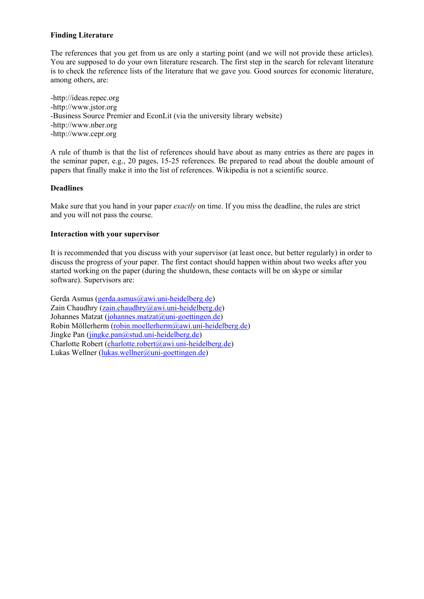### **Finding Literature**

The references that you get from us are only a starting point (and we will not provide these articles). You are supposed to do your own literature research. The first step in the search for relevant literature is to check the reference lists of the literature that we gave you. Good sources for economic literature, among others, are:

-http://ideas.repec.org -http://www.jstor.org -Business Source Premier and EconLit (via the university library website) -http://www.nber.org -http://www.cepr.org

A rule of thumb is that the list of references should have about as many entries as there are pages in the seminar paper, e.g., 20 pages, 15-25 references. Be prepared to read about the double amount of papers that finally make it into the list of references. Wikipedia is not a scientific source.

#### **Deadlines**

Make sure that you hand in your paper *exactly* on time. If you miss the deadline, the rules are strict and you will not pass the course.

#### **Interaction with your supervisor**

It is recommended that you discuss with your supervisor (at least once, but better regularly) in order to discuss the progress of your paper. The first contact should happen within about two weeks after you started working on the paper (during the shutdown, these contacts will be on skype or similar software). Supervisors are:

Gerda Asmus (gerda.asmus@awi.uni-heidelberg.de) Zain Chaudhry (zain.chaudhry@awi.uni-heidelberg.de) Johannes Matzat (johannes.matzat@uni-goettingen.de) Robin Möllerherm (robin.moellerherm@awi.uni-heidelberg.de) Jingke Pan (jingke.pan@stud.uni-heidelberg.de) Charlotte Robert (charlotte.robert@awi.uni-heidelberg.de) Lukas Wellner (lukas.wellner@uni-goettingen.de)